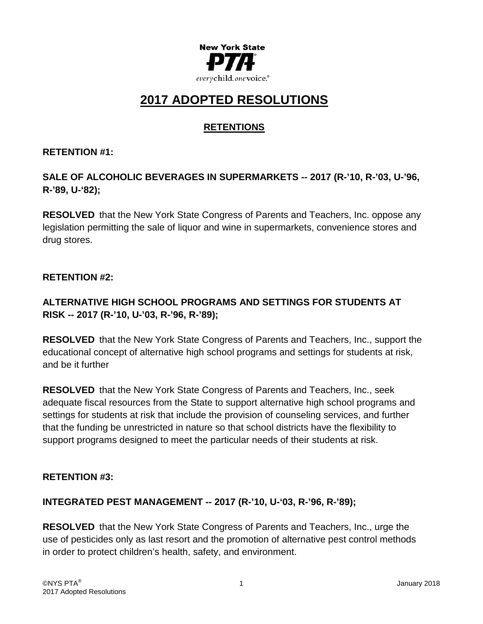

# **2017 ADOPTED RESOLUTIONS**

# **RETENTIONS**

#### **RETENTION #1:**

# **SALE OF ALCOHOLIC BEVERAGES IN SUPERMARKETS -- 2017 (R-'10, R-'03, U-'96, R-'89, U-'82);**

**RESOLVED** that the New York State Congress of Parents and Teachers, Inc. oppose any legislation permitting the sale of liquor and wine in supermarkets, convenience stores and drug stores.

#### **RETENTION #2:**

# **ALTERNATIVE HIGH SCHOOL PROGRAMS AND SETTINGS FOR STUDENTS AT RISK -- 2017 (R-'10, U-'03, R-'96, R-'89);**

**RESOLVED** that the New York State Congress of Parents and Teachers, Inc., support the educational concept of alternative high school programs and settings for students at risk, and be it further

**RESOLVED** that the New York State Congress of Parents and Teachers, Inc., seek adequate fiscal resources from the State to support alternative high school programs and settings for students at risk that include the provision of counseling services, and further that the funding be unrestricted in nature so that school districts have the flexibility to support programs designed to meet the particular needs of their students at risk.

#### **RETENTION #3:**

# **INTEGRATED PEST MANAGEMENT -- 2017 (R-'10, U-'03, R-'96, R-'89);**

**RESOLVED** that the New York State Congress of Parents and Teachers, Inc., urge the use of pesticides only as last resort and the promotion of alternative pest control methods in order to protect children's health, safety, and environment.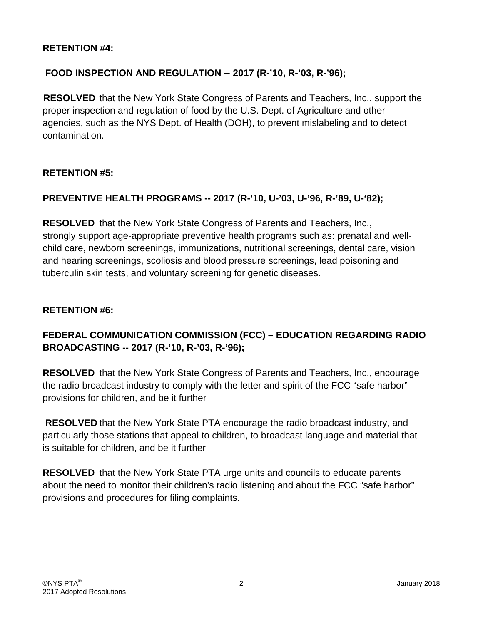#### **RETENTION #4:**

### **FOOD INSPECTION AND REGULATION -- 2017 (R-'10, R-'03, R-'96);**

**RESOLVED** that the New York State Congress of Parents and Teachers, Inc., support the proper inspection and regulation of food by the U.S. Dept. of Agriculture and other agencies, such as the NYS Dept. of Health (DOH), to prevent mislabeling and to detect contamination.

#### **RETENTION #5:**

### **PREVENTIVE HEALTH PROGRAMS -- 2017 (R-'10, U-'03, U-'96, R-'89, U-'82);**

**RESOLVED** that the New York State Congress of Parents and Teachers, Inc., strongly support age-appropriate preventive health programs such as: prenatal and wellchild care, newborn screenings, immunizations, nutritional screenings, dental care, vision and hearing screenings, scoliosis and blood pressure screenings, lead poisoning and tuberculin skin tests, and voluntary screening for genetic diseases.

#### **RETENTION #6:**

# **FEDERAL COMMUNICATION COMMISSION (FCC) – EDUCATION REGARDING RADIO BROADCASTING -- 2017 (R-'10, R-'03, R-'96);**

**RESOLVED** that the New York State Congress of Parents and Teachers, Inc., encourage the radio broadcast industry to comply with the letter and spirit of the FCC "safe harbor" provisions for children, and be it further

**RESOLVED** that the New York State PTA encourage the radio broadcast industry, and particularly those stations that appeal to children, to broadcast language and material that is suitable for children, and be it further

**RESOLVED** that the New York State PTA urge units and councils to educate parents about the need to monitor their children's radio listening and about the FCC "safe harbor" provisions and procedures for filing complaints.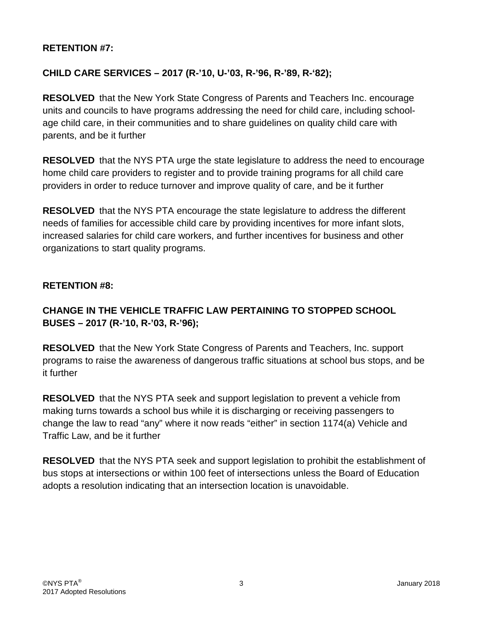#### **RETENTION #7:**

# **CHILD CARE SERVICES – 2017 (R-'10, U-'03, R-'96, R-'89, R-'82);**

**RESOLVED** that the New York State Congress of Parents and Teachers Inc. encourage units and councils to have programs addressing the need for child care, including schoolage child care, in their communities and to share guidelines on quality child care with parents, and be it further

**RESOLVED** that the NYS PTA urge the state legislature to address the need to encourage home child care providers to register and to provide training programs for all child care providers in order to reduce turnover and improve quality of care, and be it further

**RESOLVED** that the NYS PTA encourage the state legislature to address the different needs of families for accessible child care by providing incentives for more infant slots, increased salaries for child care workers, and further incentives for business and other organizations to start quality programs.

#### **RETENTION #8:**

# **CHANGE IN THE VEHICLE TRAFFIC LAW PERTAINING TO STOPPED SCHOOL BUSES – 2017 (R-'10, R-'03, R-'96);**

**RESOLVED** that the New York State Congress of Parents and Teachers, Inc. support programs to raise the awareness of dangerous traffic situations at school bus stops, and be it further

**RESOLVED** that the NYS PTA seek and support legislation to prevent a vehicle from making turns towards a school bus while it is discharging or receiving passengers to change the law to read "any" where it now reads "either" in section 1174(a) Vehicle and Traffic Law, and be it further

**RESOLVED** that the NYS PTA seek and support legislation to prohibit the establishment of bus stops at intersections or within 100 feet of intersections unless the Board of Education adopts a resolution indicating that an intersection location is unavoidable.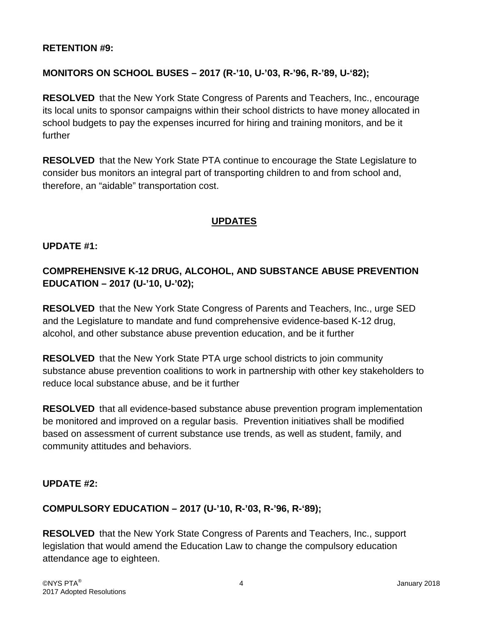#### **RETENTION #9:**

### **MONITORS ON SCHOOL BUSES – 2017 (R-'10, U-'03, R-'96, R-'89, U-'82);**

**RESOLVED** that the New York State Congress of Parents and Teachers, Inc., encourage its local units to sponsor campaigns within their school districts to have money allocated in school budgets to pay the expenses incurred for hiring and training monitors, and be it further

**RESOLVED** that the New York State PTA continue to encourage the State Legislature to consider bus monitors an integral part of transporting children to and from school and, therefore, an "aidable" transportation cost.

# **UPDATES**

#### **UPDATE #1:**

# **COMPREHENSIVE K-12 DRUG, ALCOHOL, AND SUBSTANCE ABUSE PREVENTION EDUCATION – 2017 (U-'10, U-'02);**

**RESOLVED** that the New York State Congress of Parents and Teachers, Inc., urge SED and the Legislature to mandate and fund comprehensive evidence-based K-12 drug, alcohol, and other substance abuse prevention education, and be it further

**RESOLVED** that the New York State PTA urge school districts to join community substance abuse prevention coalitions to work in partnership with other key stakeholders to reduce local substance abuse, and be it further

**RESOLVED** that all evidence-based substance abuse prevention program implementation be monitored and improved on a regular basis. Prevention initiatives shall be modified based on assessment of current substance use trends, as well as student, family, and community attitudes and behaviors.

#### **UPDATE #2:**

#### **COMPULSORY EDUCATION – 2017 (U-'10, R-'03, R-'96, R-'89);**

**RESOLVED** that the New York State Congress of Parents and Teachers, Inc., support legislation that would amend the Education Law to change the compulsory education attendance age to eighteen.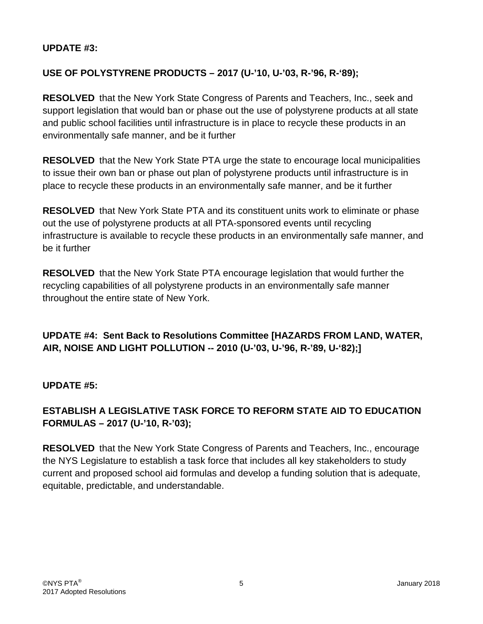### **UPDATE #3:**

# **USE OF POLYSTYRENE PRODUCTS – 2017 (U-'10, U-'03, R-'96, R-'89);**

**RESOLVED** that the New York State Congress of Parents and Teachers, Inc., seek and support legislation that would ban or phase out the use of polystyrene products at all state and public school facilities until infrastructure is in place to recycle these products in an environmentally safe manner, and be it further

**RESOLVED** that the New York State PTA urge the state to encourage local municipalities to issue their own ban or phase out plan of polystyrene products until infrastructure is in place to recycle these products in an environmentally safe manner, and be it further

**RESOLVED** that New York State PTA and its constituent units work to eliminate or phase out the use of polystyrene products at all PTA-sponsored events until recycling infrastructure is available to recycle these products in an environmentally safe manner, and be it further

**RESOLVED** that the New York State PTA encourage legislation that would further the recycling capabilities of all polystyrene products in an environmentally safe manner throughout the entire state of New York.

**UPDATE #4: Sent Back to Resolutions Committee [HAZARDS FROM LAND, WATER, AIR, NOISE AND LIGHT POLLUTION -- 2010 (U-'03, U-'96, R-'89, U-'82);]**

**UPDATE #5:**

# **ESTABLISH A LEGISLATIVE TASK FORCE TO REFORM STATE AID TO EDUCATION FORMULAS – 2017 (U-'10, R-'03);**

**RESOLVED** that the New York State Congress of Parents and Teachers, Inc., encourage the NYS Legislature to establish a task force that includes all key stakeholders to study current and proposed school aid formulas and develop a funding solution that is adequate, equitable, predictable, and understandable.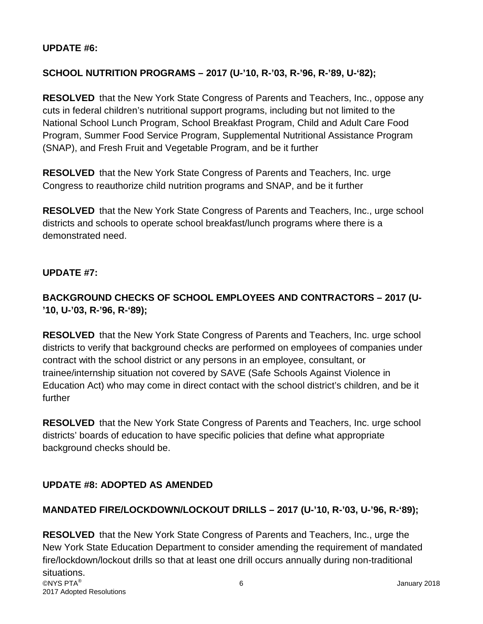### **UPDATE #6:**

# **SCHOOL NUTRITION PROGRAMS – 2017 (U-'10, R-'03, R-'96, R-'89, U-'82);**

**RESOLVED** that the New York State Congress of Parents and Teachers, Inc., oppose any cuts in federal children's nutritional support programs, including but not limited to the National School Lunch Program, School Breakfast Program, Child and Adult Care Food Program, Summer Food Service Program, Supplemental Nutritional Assistance Program (SNAP), and Fresh Fruit and Vegetable Program, and be it further

**RESOLVED** that the New York State Congress of Parents and Teachers, Inc. urge Congress to reauthorize child nutrition programs and SNAP, and be it further

**RESOLVED** that the New York State Congress of Parents and Teachers, Inc., urge school districts and schools to operate school breakfast/lunch programs where there is a demonstrated need.

### **UPDATE #7:**

# **BACKGROUND CHECKS OF SCHOOL EMPLOYEES AND CONTRACTORS – 2017 (U- '10, U-'03, R-'96, R-'89);**

**RESOLVED** that the New York State Congress of Parents and Teachers, Inc. urge school districts to verify that background checks are performed on employees of companies under contract with the school district or any persons in an employee, consultant, or trainee/internship situation not covered by SAVE (Safe Schools Against Violence in Education Act) who may come in direct contact with the school district's children, and be it further

**RESOLVED** that the New York State Congress of Parents and Teachers, Inc. urge school districts' boards of education to have specific policies that define what appropriate background checks should be.

# **UPDATE #8: ADOPTED AS AMENDED**

# **MANDATED FIRE/LOCKDOWN/LOCKOUT DRILLS – 2017 (U-'10, R-'03, U-'96, R-'89);**

©NYS PTA $^\circ$  January 2018 2017 Adopted Resolutions **RESOLVED** that the New York State Congress of Parents and Teachers, Inc., urge the New York State Education Department to consider amending the requirement of mandated fire/lockdown/lockout drills so that at least one drill occurs annually during non-traditional situations.